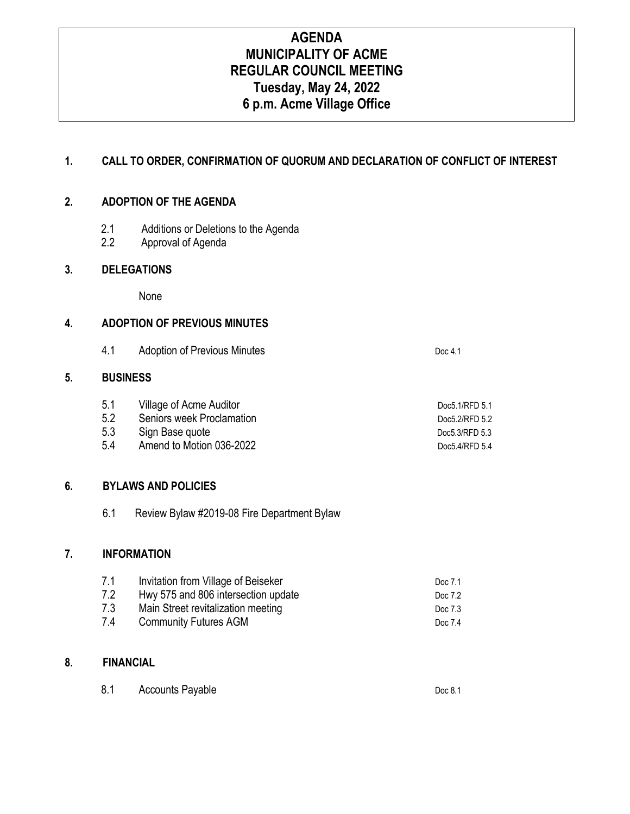# **AGENDA MUNICIPALITY OF ACME REGULAR COUNCIL MEETING Tuesday, May 24, 2022 6 p.m. Acme Village Office**

# **1. CALL TO ORDER, CONFIRMATION OF QUORUM AND DECLARATION OF CONFLICT OF INTEREST**

## **2. ADOPTION OF THE AGENDA**

- 2.1 Additions or Deletions to the Agenda
- 2.2 Approval of Agenda

### **3. DELEGATIONS**

None

# **4. ADOPTION OF PREVIOUS MINUTES**

4.1 Adoption of Previous Minutes **Doc 4.1** Doc 4.1

#### **5. BUSINESS**

| 5.1 | Village of Acme Auditor   | Doc5.1/RFD 5.1 |
|-----|---------------------------|----------------|
| 5.2 | Seniors week Proclamation | Doc5.2/RFD 5.2 |
| 5.3 | Sign Base quote           | Doc5.3/RFD 5.3 |
| 5.4 | Amend to Motion 036-2022  | Doc5.4/RFD 5.4 |

# **6. BYLAWS AND POLICIES**

6.1 Review Bylaw #2019-08 Fire Department Bylaw

### **7. INFORMATION**

| 7.1 | Invitation from Village of Beiseker | Doc 7.1 |
|-----|-------------------------------------|---------|
| 7.2 | Hwy 575 and 806 intersection update | Doc 7.2 |
| 7.3 | Main Street revitalization meeting  | Doc 7.3 |
| 7.4 | <b>Community Futures AGM</b>        | Doc 7.4 |

### **8. FINANCIAL**

| 8.1 | <b>Accounts Payable</b> | Doc 8.1 |
|-----|-------------------------|---------|
|-----|-------------------------|---------|